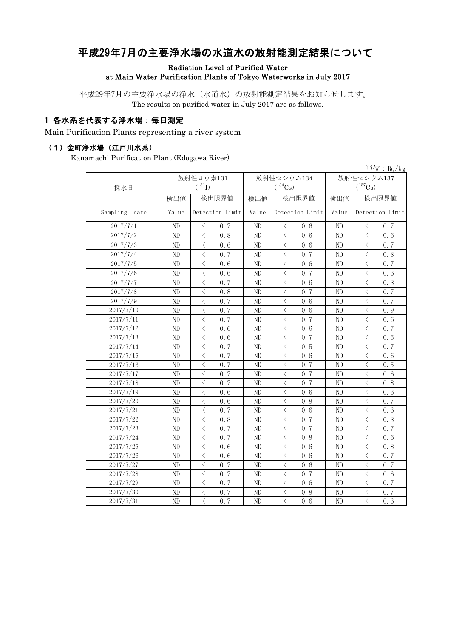# 平成29年7月の主要浄水場の水道水の放射能測定結果について

#### Radiation Level of Purified Water at Main Water Purification Plants of Tokyo Waterworks in July 2017

平成29年7月の主要浄水場の浄水(水道水)の放射能測定結果をお知らせします。 The results on purified water in July 2017 are as follows.

### 1 各水系を代表する浄水場:毎日測定

Main Purification Plants representing a river system

#### (1)金町浄水場(江戸川水系)

Kanamachi Purification Plant (Edogawa River)

|                  |                |                                          |       |                |                                          |      |                |                 | 単位 : Bq/kg |  |
|------------------|----------------|------------------------------------------|-------|----------------|------------------------------------------|------|----------------|-----------------|------------|--|
|                  |                | 放射性ヨウ素131                                |       |                | 放射性セシウム134                               |      |                | 放射性セシウム137      |            |  |
| 採水日              |                | $(^{131}I)$                              |       | $(^{134}Cs)$   |                                          |      | $(^{137}Cs)$   |                 |            |  |
|                  | 検出値            |                                          | 検出限界値 | 検出値            | 検出限界値                                    |      | 検出値            | 検出限界値           |            |  |
| Sampling<br>date | Value          | Detection Limit                          |       | Value          | Detection Limit                          |      | Value          | Detection Limit |            |  |
| 2017/7/1         | ND             | ⟨                                        | 0, 7  | ND             | ⟨                                        | 0.6  | ND             | く               | 0, 7       |  |
| 2017/7/2         | ND             | $\langle$                                | 0.8   | ND             | $\langle$                                | 0.6  | ND             | $\langle$       | 0.6        |  |
| 2017/7/3         | ND             | $\langle$                                | 0.6   | ND             | $\langle$                                | 0.6  | ND             | $\langle$       | 0.7        |  |
| 2017/7/4         | ND             | $\langle$                                | 0.7   | ND             | $\langle$                                | 0.7  | ND             | $\langle$       | 0.8        |  |
| 2017/7/5         | ND             | $\langle$                                | 0.6   | ND             | $\lt$                                    | 0.6  | ND             | $\langle$       | 0.7        |  |
| 2017/7/6         | ND             | $\langle$                                | 0.6   | ND             | $\langle$                                | 0.7  | ND             | $\langle$       | 0.6        |  |
| 2017/7/7         | ND             | $\lt$                                    | 0.7   | ND             | $\langle$                                | 0.6  | ND             | $\langle$       | 0.8        |  |
| 2017/7/8         | ND             | $\langle$                                | 0.8   | ND             | $\lt$                                    | 0.7  | ND             | $\langle$       | 0.7        |  |
| 2017/7/9         | N <sub>D</sub> | $\langle$                                | 0.7   | N <sub>D</sub> | $\langle$                                | 0.6  | N <sub>D</sub> | $\langle$       | 0.7        |  |
| 2017/7/10        | N <sub>D</sub> | $\langle$                                | 0.7   | N <sub>D</sub> | $\langle$                                | 0.6  | N <sub>D</sub> | $\langle$       | 0.9        |  |
| 2017/7/11        | N <sub>D</sub> | $\langle$                                | 0.7   | N <sub>D</sub> | $\langle$                                | 0.7  | N <sub>D</sub> | $\langle$       | 0, 6       |  |
| 2017/7/12        | ND             | $\langle$                                | 0.6   | ND             | $\langle$                                | 0.6  | N <sub>D</sub> | $\langle$       | 0.7        |  |
| 2017/7/13        | ND             | $\langle$                                | 0.6   | ND             | $\langle$                                | 0.7  | N <sub>D</sub> | $\langle$       | 0, 5       |  |
| 2017/7/14        | ND             | $\langle$                                | 0.7   | ND             | $\langle$                                | 0, 5 | ND             | $\langle$       | 0.7        |  |
| 2017/7/15        | ND             | $\langle$                                | 0.7   | ND             | $\langle$                                | 0.6  | ND             | $\langle$       | 0, 6       |  |
| 2017/7/16        | ND             | $\langle$                                | 0, 7  | ND             | $\langle$                                | 0.7  | ND             | $\langle$       | 0, 5       |  |
| 2017/7/17        | N <sub>D</sub> | $\langle$                                | 0, 7  | ND             | $\langle$                                | 0, 7 | N <sub>D</sub> | $\langle$       | 0.6        |  |
| 2017/7/18        | N <sub>D</sub> | $\langle$                                | 0, 7  | ND             | $\langle$                                | 0, 7 | N <sub>D</sub> | $\langle$       | 0.8        |  |
| 2017/7/19        | ND             | $\langle$                                | 0.6   | $\rm ND$       | $\langle$                                | 0.6  | N <sub>D</sub> | $\langle$       | 0.6        |  |
| 2017/7/20        | ND             | $\overline{\left\langle \right\rangle }$ | 0.6   | ND             | $\langle$                                | 0.8  | ND             | $\langle$       | 0.7        |  |
| 2017/7/21        | ND             | $\overline{\left\langle \right\rangle }$ | 0.7   | ND             | $\overline{\left\langle \right\rangle }$ | 0.6  | ND             | $\langle$       | 0.6        |  |
| 2017/7/22        | ND             | $\overline{\left\langle \right\rangle }$ | 0.8   | ND             | $\langle$                                | 0.7  | N <sub>D</sub> | $\lt$           | 0.8        |  |
| 2017/7/23        | ND             | $\langle$                                | 0.7   | ND             | $\lt$                                    | 0.7  | N <sub>D</sub> | $\lt$           | 0, 7       |  |
| 2017/7/24        | ND             | $\langle$                                | 0.7   | ND             | $\langle$                                | 0.8  | ND             | $\langle$       | 0.6        |  |
| 2017/7/25        | ND             | $\langle$                                | 0.6   | ND             | $\langle$                                | 0.6  | N <sub>D</sub> | $\langle$       | 0, 8       |  |
| 2017/7/26        | ND             | $\langle$                                | 0, 6  | ND             | $\langle$                                | 0, 6 | ND             | $\langle$       | 0, 7       |  |
| 2017/7/27        | ND             | $\langle$                                | 0.7   | ND             | $\langle$                                | 0, 6 | ND             | $\langle$       | 0.7        |  |
| 2017/7/28        | ND             | $\langle$                                | 0.7   | ND             | $\langle$                                | 0.7  | ND             | $\langle$       | 0, 6       |  |
| 2017/7/29        | ND             | $\langle$                                | 0.7   | ND             | $\lt$                                    | 0, 6 | ND             | $\langle$       | 0.7        |  |
| 2017/7/30        | ND             | $\lt$                                    | 0.7   | ND             | $\langle$                                | 0.8  | ND             | $\lt$           | 0.7        |  |
| 2017/7/31        | ND             | $\langle$                                | 0.7   | ND             | $\langle$                                | 0.6  | ND             | $\langle$       | 0.6        |  |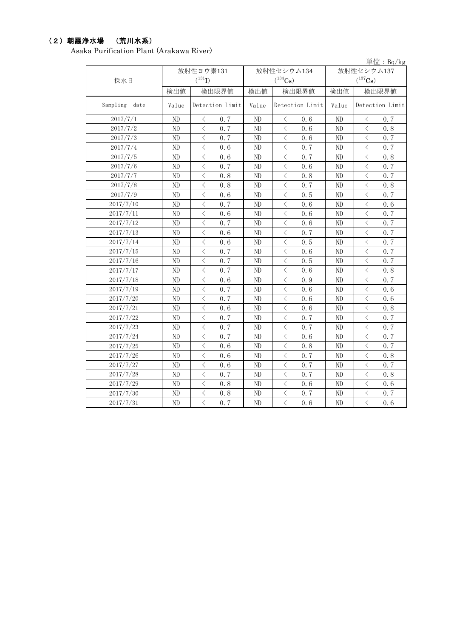### (2)朝霞浄水場 (荒川水系)

Asaka Purification Plant (Arakawa River)

|               |                |                                                 |                |                   |                | 単位: $Bq/kg$       |  |
|---------------|----------------|-------------------------------------------------|----------------|-------------------|----------------|-------------------|--|
|               |                | 放射性ヨウ素131                                       |                | 放射性セシウム134        | 放射性セシウム137     |                   |  |
| 採水日           |                | $(^{131}I)$                                     | $(^{134}Cs)$   |                   |                | $(^{137}Cs)$      |  |
|               | 検出値            | 検出限界値                                           | 検出値            | 検出限界値             | 検出値            | 検出限界値             |  |
| Sampling date | Value          | Detection Limit                                 | Value          | Detection Limit   | Value          | Detection Limit   |  |
| 2017/7/1      | N <sub>D</sub> | 0.7<br>⟨                                        | N <sub>D</sub> | 0.6<br>$\langle$  | ND             | 0.7<br>$\lt$      |  |
| 2017/7/2      | ND             | $\overline{\left\langle \right\rangle }$<br>0.7 | ND             | $\langle$<br>0.6  | ND             | $\lt$<br>0.8      |  |
| 2017/7/3      | ND             | $\lt$<br>0.7                                    | ND             | 0.6<br>$\langle$  | ND             | $\langle$<br>0.7  |  |
| 2017/7/4      | N <sub>D</sub> | $\lt$<br>0, 6                                   | ND             | $\langle$<br>0, 7 | N <sub>D</sub> | $\langle$<br>0.7  |  |
| 2017/7/5      | ND             | $\lt$<br>0.6                                    | ND             | $\lt$<br>0.7      | ND             | $\langle$<br>0.8  |  |
| 2017/7/6      | N <sub>D</sub> | $\overline{\left\langle \right\rangle }$<br>0.7 | ND             | $\, <\,$<br>0.6   | ND             | $\langle$<br>0.7  |  |
| 2017/7/7      | ND             | $\lt$<br>0.8                                    | ND             | $\langle$<br>0.8  | ND             | $\langle$<br>0.7  |  |
| 2017/7/8      | N <sub>D</sub> | $\lt$<br>0, 8                                   | ND             | $\langle$<br>0.7  | N <sub>D</sub> | $\langle$<br>0, 8 |  |
| 2017/7/9      | ND             | $\lt$<br>0.6                                    | ND             | $\langle$<br>0.5  | ND             | $\langle$<br>0.7  |  |
| 2017/7/10     | N <sub>D</sub> | $\overline{\left\langle \right\rangle }$<br>0.7 | ND             | $\, <\,$<br>0.6   | ND             | $\langle$<br>0.6  |  |
| 2017/7/11     | ND             | $\lt$<br>0.6                                    | ND             | $\langle$<br>0.6  | ND             | $\langle$<br>0.7  |  |
| 2017/7/12     | N <sub>D</sub> | $\langle$<br>0.7                                | ND             | $\langle$<br>0.6  | N <sub>D</sub> | $\langle$<br>0.7  |  |
| 2017/7/13     | ND             | $\lt$<br>0.6                                    | ND             | $\lt$<br>0.7      | ND             | $\langle$<br>0.7  |  |
| 2017/7/14     | ND             | $\overline{\left\langle \right\rangle }$<br>0.6 | ND             | $\langle$<br>0.5  | ND             | $\langle$<br>0.7  |  |
| 2017/7/15     | ND             | $\overline{\left\langle \right\rangle }$<br>0.7 | ND             | $\langle$<br>0.6  | ND             | $\langle$<br>0.7  |  |
| 2017/7/16     | N <sub>D</sub> | $\lt$<br>0.7                                    | ND             | $\langle$<br>0.5  | N <sub>D</sub> | $\langle$<br>0.7  |  |
| 2017/7/17     | ND             | $\overline{\left\langle \right\rangle }$<br>0.7 | ND             | $\langle$<br>0.6  | ND             | $\langle$<br>0.8  |  |
| 2017/7/18     | ND             | $\lt$<br>0.6                                    | ND             | $\langle$<br>0.9  | ND             | $\langle$<br>0.7  |  |
| 2017/7/19     | ND             | $\langle$<br>0.7                                | ND             | $\langle$<br>0, 6 | ND             | $\langle$<br>0.6  |  |
| 2017/7/20     | N <sub>D</sub> | $\lt$<br>0.7                                    | ND             | $\langle$<br>0.6  | N <sub>D</sub> | $\langle$<br>0.6  |  |
| 2017/7/21     | ND             | $\overline{\left\langle \right\rangle }$<br>0.6 | ND             | $\langle$<br>0.6  | ND             | $\langle$<br>0.8  |  |
| 2017/7/22     | ND             | $\langle$<br>0.7                                | ND             | $\langle$<br>0.7  | ND             | $\langle$<br>0.7  |  |
| 2017/7/23     | ND             | $\langle$<br>0.7                                | ND             | $\langle$<br>0.7  | ND             | $\langle$<br>0, 7 |  |
| 2017/7/24     | N <sub>D</sub> | $\lt$<br>0.7                                    | ND             | $\langle$<br>0.6  | N <sub>D</sub> | $\langle$<br>0.7  |  |
| 2017/7/25     | ND             | $\lt$<br>0.6                                    | ND             | $\lt$<br>0.8      | ND             | $\langle$<br>0.7  |  |
| 2017/7/26     | ND             | $\langle$<br>0.6                                | ND             | $\langle$<br>0.7  | ND             | $\langle$<br>0.8  |  |
| 2017/7/27     | ND             | $\lt$<br>0.6                                    | ND             | $\langle$<br>0.7  | ND             | $\langle$<br>0, 7 |  |
| 2017/7/28     | N <sub>D</sub> | $\langle$<br>0.7                                | ND             | $\langle$<br>0.7  | N <sub>D</sub> | $\langle$<br>0.8  |  |
| 2017/7/29     | ND             | $\lt$<br>0.8                                    | ND             | $\lt$<br>0.6      | ND             | $\langle$<br>0.6  |  |
| 2017/7/30     | ND             | $\langle$<br>0.8                                | ND             | $\lt$<br>0.7      | ND             | $\langle$<br>0.7  |  |
| 2017/7/31     | ND             | $\overline{\left\langle \right\rangle }$<br>0.7 | ND             | $\langle$<br>0.6  | ND             | $\langle$<br>0.6  |  |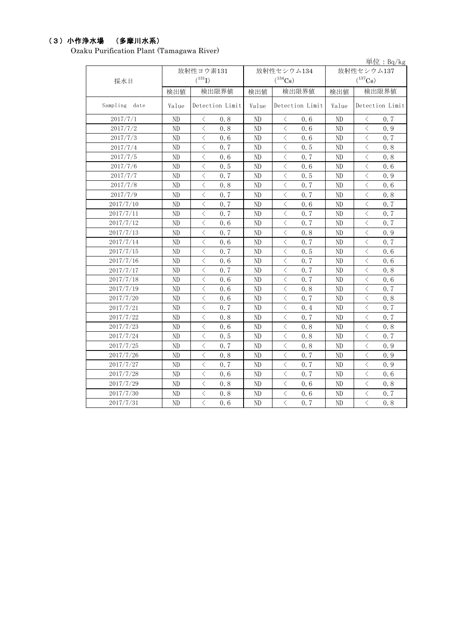## (3)小作浄水場 (多摩川水系)

Ozaku Purification Plant (Tamagawa River)

|               |                |                                                 |                |                                                 |                | 単位: $Bq/kg$                                     |  |
|---------------|----------------|-------------------------------------------------|----------------|-------------------------------------------------|----------------|-------------------------------------------------|--|
|               | 放射性ヨウ素131      |                                                 |                | 放射性セシウム134                                      | 放射性セシウム137     |                                                 |  |
| 採水日           |                | $(^{131}I)$                                     |                | $(^{134}Cs)$                                    |                | $(^{137}Cs)$                                    |  |
|               | 検出値            | 検出限界値                                           | 検出値            | 検出限界値                                           | 検出値            | 検出限界値                                           |  |
| Sampling date | Value          | Detection Limit                                 | Value          | Detection Limit                                 | Value          | Detection Limit                                 |  |
| 2017/7/1      | N <sub>D</sub> | 0.8<br>ぐ                                        | N <sub>D</sub> | 0.6<br>ぐ                                        | ND             | 0.7<br>ぐ                                        |  |
| 2017/7/2      | ND             | $\overline{\left\langle \right\rangle }$<br>0.8 | ND             | $\overline{\left\langle \right\rangle }$<br>0.6 | ND             | $\langle$<br>0.9                                |  |
| 2017/7/3      | ND             | $\lt$<br>0.6                                    | ND             | $\lt$<br>0.6                                    | ND             | $\lt$<br>0.7                                    |  |
| 2017/7/4      | N <sub>D</sub> | $\lt$<br>0.7                                    | ND             | ぐ<br>0, 5                                       | N <sub>D</sub> | $\lt$<br>0.8                                    |  |
| 2017/7/5      | ND             | $\lt$<br>0.6                                    | ND             | $\langle$<br>0.7                                | ND             | $\lt$<br>0.8                                    |  |
| 2017/7/6      | ND             | $\overline{\left\langle \right\rangle }$<br>0.5 | ND             | $\lt$<br>0.6                                    | ND             | $\lt$<br>0.6                                    |  |
| 2017/7/7      | ND             | $\lt$<br>0.7                                    | ND             | $\lt$<br>0.5                                    | ND             | $\lt$<br>0.9                                    |  |
| 2017/7/8      | ND             | $\lt$<br>0, 8                                   | ND             | $\lt$<br>0.7                                    | ND             | $\lt$<br>0.6                                    |  |
| 2017/7/9      | ND             | $\lt$<br>0.7                                    | ND             | $\langle$<br>0.7                                | ND             | $\lt$<br>0.8                                    |  |
| 2017/7/10     | ND             | $\overline{\left\langle \right\rangle }$<br>0.7 | ND             | $\lt$<br>0.6                                    | ND             | $\lt$<br>0.7                                    |  |
| 2017/7/11     | ND             | $\lt$<br>0.7                                    | ND             | $\lt$<br>0.7                                    | ND             | $\lt$<br>0.7                                    |  |
| 2017/7/12     | ND             | $\lt$<br>0.6                                    | ND             | $\lt$<br>0.7                                    | ND             | $\lt$<br>0.7                                    |  |
| 2017/7/13     | ND             | $\lt$<br>0.7                                    | ND             | $\lt$<br>0.8                                    | ND             | $\lt$<br>0.9                                    |  |
| 2017/7/14     | ND             | $\overline{\left\langle \right\rangle }$<br>0.6 | ND             | $\lt$<br>0.7                                    | ND             | $\lt$<br>0.7                                    |  |
| 2017/7/15     | N <sub>D</sub> | $\overline{\left\langle \right\rangle }$<br>0.7 | ND             | $\lt$<br>0.5                                    | ND             | $\overline{\left\langle \right\rangle }$<br>0.6 |  |
| 2017/7/16     | ND             | $\lt$<br>0.6                                    | ND             | $\lt$<br>0.7                                    | ND             | $\lt$<br>0.6                                    |  |
| 2017/7/17     | ND             | $\lt$<br>0.7                                    | ND             | $\lt$<br>0.7                                    | ND             | $\lt$<br>0.8                                    |  |
| 2017/7/18     | ND             | $\lt$<br>0.6                                    | ND             | $\lt$<br>0.7                                    | ND             | $\lt$<br>0.6                                    |  |
| 2017/7/19     | ND             | $\lt$<br>0.6                                    | ND             | $\lt$<br>0.8                                    | ND             | $\lt$<br>0.7                                    |  |
| 2017/7/20     | N <sub>D</sub> | $\lt$<br>0, 6                                   | N <sub>D</sub> | 0.7<br>ぐ                                        | N <sub>D</sub> | $\lt$<br>0.8                                    |  |
| 2017/7/21     | ND             | $\langle$<br>0.7                                | ND             | $\lt$<br>0.4                                    | ND             | $\lt$<br>0.7                                    |  |
| 2017/7/22     | ND             | $\lt$<br>0.8                                    | ND             | $\lt$<br>0.7                                    | ND             | $\lt$<br>0.7                                    |  |
| 2017/7/23     | ND             | $\lt$<br>0.6                                    | ND             | $\lt$<br>0.8                                    | ND             | $\lt$<br>0.8                                    |  |
| 2017/7/24     | N <sub>D</sub> | $\lt$<br>0, 5                                   | ND             | ぐ<br>0, 8                                       | N <sub>D</sub> | $\lt$<br>0.7                                    |  |
| 2017/7/25     | ND             | $\lt$<br>0, 7                                   | ND             | $\lt$<br>0.8                                    | ND             | $\lt$<br>$0.9$                                  |  |
| 2017/7/26     | ND             | $\langle$<br>0.8                                | ND             | $\lt$<br>0.7                                    | ND             | $\overline{\left\langle \right\rangle }$<br>0.9 |  |
| 2017/7/27     | ND             | $\lt$<br>0.7                                    | ND             | $\lt$<br>0.7                                    | ND             | $\lt$<br>0.9                                    |  |
| 2017/7/28     | N <sub>D</sub> | $\lt$<br>0, 6                                   | N <sub>D</sub> | $\lt$<br>0, 7                                   | N <sub>D</sub> | $\lt$<br>0, 6                                   |  |
| 2017/7/29     | ND             | $\lt$<br>0.8                                    | ND             | $\lt$<br>0, 6                                   | ND             | $\lt$<br>0.8                                    |  |
| 2017/7/30     | ND             | $\lt$<br>0.8                                    | ND             | $\langle$<br>0.6                                | ND             | $\lt$<br>0.7                                    |  |
| 2017/7/31     | ND             | $\overline{\left\langle \right\rangle }$<br>0.6 | ND             | $\overline{\left\langle \right\rangle }$<br>0.7 | ND             | $\overline{\left\langle \right\rangle }$<br>0.8 |  |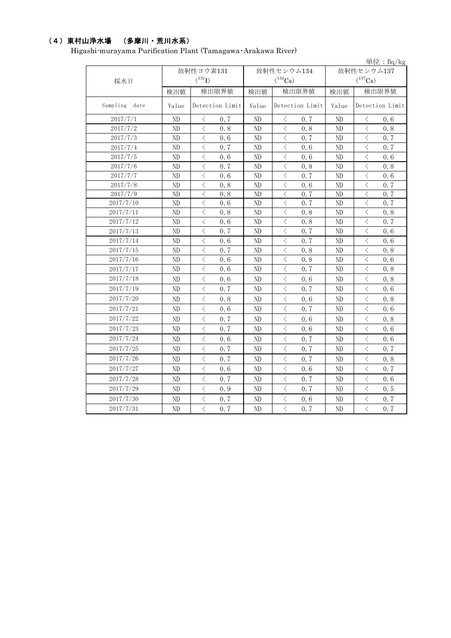## (4)東村山浄水場 (多摩川・荒川水系)

Higashi-murayama Purification Plant (Tamagawa・Arakawa River)

|               |       |                   |       |                   |                | 単位: $Bq/kg$                                     |  |
|---------------|-------|-------------------|-------|-------------------|----------------|-------------------------------------------------|--|
|               |       | 放射性ヨウ素131         |       | 放射性セシウム134        | 放射性セシウム137     |                                                 |  |
| 採水日           |       | $(^{131}I)$       |       | $(^{134}Cs)$      | $(^{137}Cs)$   |                                                 |  |
|               | 検出値   | 検出限界値             | 検出値   | 検出限界値             | 検出値            | 検出限界値                                           |  |
| Sampling date | Value | Detection Limit   | Value | Detection Limit   | Value          | Detection Limit                                 |  |
| 2017/7/1      | ND    | 0.7<br>⟨          | ND    | 0.7<br>⟨          | ND             | ぐ<br>0.6                                        |  |
| 2017/7/2      | ND    | $\langle$<br>0.8  | ND    | $\langle$<br>0.8  | ND             | $\lt$<br>0.8                                    |  |
| 2017/7/3      | ND    | $\langle$<br>0.6  | ND    | $\langle$<br>0.7  | ND             | $\lt$<br>0, 7                                   |  |
| 2017/7/4      | ND    | $\langle$<br>0, 7 | ND    | $\lt$<br>0.6      | ND             | $\lt$<br>0.7                                    |  |
| 2017/7/5      | ND    | $\langle$<br>0.6  | ND    | $\langle$<br>0, 6 | ND             | $\lt$<br>0, 6                                   |  |
| 2017/7/6      | ND    | $\langle$<br>0, 7 | ND    | $\lt$<br>0.8      | ND             | $\lt$<br>0.8                                    |  |
| 2017/7/7      | ND    | $\langle$<br>0.6  | ND    | 0.7<br>$\langle$  | ND             | $\langle$<br>0.6                                |  |
| 2017/7/8      | ND    | $\langle$<br>0.8  | ND    | $\lt$<br>0.6      | ND             | $\lt$<br>0.7                                    |  |
| 2017/7/9      | ND    | $\langle$<br>0.8  | ND    | 0.7<br>$\langle$  | N <sub>D</sub> | $\lt$<br>0.7                                    |  |
| 2017/7/10     | ND    | 0, 6<br>く         | ND    | 0, 7<br>く         | ND             | $\lt$<br>0, 7                                   |  |
| 2017/7/11     | ND    | $\lt$<br>0.8      | ND    | $\lt$<br>0.8      | ND             | $\lt$<br>0.8                                    |  |
| 2017/7/12     | ND    | $\lt$<br>0, 6     | ND    | $\lt$<br>0.8      | ND             | $\lt$<br>0, 7                                   |  |
| 2017/7/13     | ND    | $\lt$<br>0.7      | ND    | $\lt$<br>0.7      | ND             | $\lt$<br>0.6                                    |  |
| 2017/7/14     | ND    | $\lt$<br>0, 6     | ND    | $\lt$<br>0.7      | ND             | $\lt$<br>0.6                                    |  |
| 2017/7/15     | ND    | $\langle$<br>0, 7 | ND    | $\lt$<br>0.8      | ND             | $\lt$<br>0.8                                    |  |
| 2017/7/16     | ND    | $\langle$<br>0.6  | ND    | $\lt$<br>0.8      | ND             | $\lt$<br>0.6                                    |  |
| 2017/7/17     | ND    | $\lt$<br>0.6      | ND    | $\lt$<br>0.7      | ND             | $\lt$<br>0.8                                    |  |
| 2017/7/18     | ND    | $\lt$<br>0, 6     | ND    | $\lt$<br>0.6      | ND             | $\lt$<br>0.8                                    |  |
| 2017/7/19     | ND    | $\langle$<br>0.7  | ND    | $\langle$<br>0.7  | ND             | $\langle$<br>0.6                                |  |
| 2017/7/20     | ND    | $\lt$<br>0.8      | ND    | $\lt$<br>0, 6     | ND             | $\langle$<br>0.8                                |  |
| 2017/7/21     | ND    | $\langle$<br>0.6  | ND    | $\langle$<br>0.7  | ND             | $\langle$<br>0.6                                |  |
| 2017/7/22     | ND    | $\langle$<br>0.7  | ND    | $\lt$<br>0.6      | ND             | $\lt$<br>0.8                                    |  |
| 2017/7/23     | ND    | $\langle$<br>0.7  | ND    | $\langle$<br>0.6  | ND             | $\langle$<br>0.6                                |  |
| 2017/7/24     | ND    | $\langle$<br>0.6  | ND    | $\langle$<br>0.7  | ND             | $\langle$<br>0.6                                |  |
| 2017/7/25     | ND    | $\langle$<br>0, 7 | ND    | $\lt$<br>0.7      | ND             | $\langle$<br>0, 7                               |  |
| 2017/7/26     | ND    | $\langle$<br>0.7  | ND    | $\langle$<br>0.7  | ND             | $\langle$<br>0.8                                |  |
| 2017/7/27     | ND    | ⟨<br>0.6          | ND    | $\lt$<br>0.6      | ND             | $\lt$<br>0, 7                                   |  |
| 2017/7/28     | ND    | $\langle$<br>0.7  | ND    | $\lt$<br>0.7      | ND             | $\lt$<br>0.6                                    |  |
| 2017/7/29     | ND    | 0.9<br>⟨          | ND    | 0.7<br>$\langle$  | ND             | $\langle$<br>0.5                                |  |
| 2017/7/30     | ND    | $\langle$<br>0.7  | ND    | $\langle$<br>0.6  | ND             | $\langle$<br>0.7                                |  |
| 2017/7/31     | ND    | $\langle$<br>0.7  | ND    | $\langle$<br>0.7  | ND             | $\overline{\left\langle \right\rangle }$<br>0.7 |  |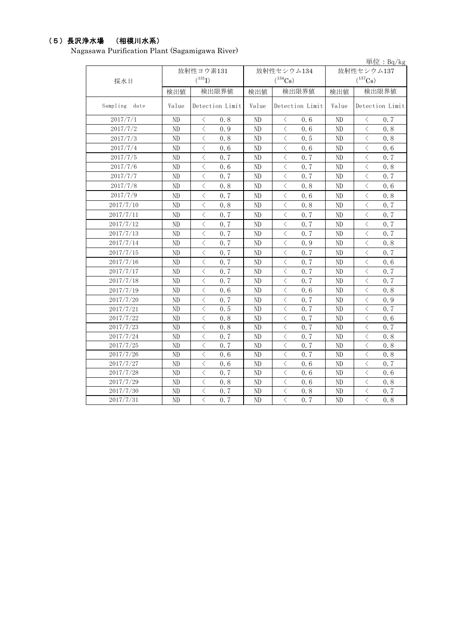### (5)長沢浄水場 (相模川水系)

Nagasawa Purification Plant (Sagamigawa River)

|               |          |                                                 |          |                                                 |                | 単位: $Bq/kg$                 |  |
|---------------|----------|-------------------------------------------------|----------|-------------------------------------------------|----------------|-----------------------------|--|
|               |          | 放射性ヨウ素131                                       |          | 放射性セシウム134                                      | 放射性セシウム137     |                             |  |
| 採水日           |          | $(^{131}I)$                                     |          | $(^{134}Cs)$                                    |                | $(^{137}Cs)$                |  |
|               | 検出値      | 検出限界値                                           | 検出値      | 検出限界値                                           | 検出値            | 検出限界値                       |  |
| Sampling date | Value    | Detection Limit                                 | Value    | Detection Limit                                 | Value          | Detection Limit             |  |
| 2017/7/1      | $\rm ND$ | $\langle$<br>0.8                                | ND       | $\langle$<br>0.6                                | ND             | 0.7<br>$\langle$            |  |
| 2017/7/2      | ND       | $\overline{\langle}$<br>0.9                     | ND       | $\overline{\left\langle \right\rangle }$<br>0.6 | ND             | $\overline{\langle}$<br>0.8 |  |
| 2017/7/3      | ND       | $\lt$<br>0.8                                    | ND       | $\langle$<br>0.5                                | ND             | $\langle$<br>0.8            |  |
| 2017/7/4      | ND       | $\lt$<br>0.6                                    | ND       | $\langle$<br>0.6                                | ND             | $\langle$<br>0.6            |  |
| 2017/7/5      | ND       | $\overline{\left\langle \right\rangle }$<br>0.7 | ND       | $\overline{\left\langle \right\rangle }$<br>0.7 | ND             | $\langle$<br>0.7            |  |
| 2017/7/6      | ND       | $\langle$<br>0.6                                | ND       | $\langle$<br>0.7                                | N <sub>D</sub> | $\langle$<br>0.8            |  |
| 2017/7/7      | ND       | $\langle$<br>0, 7                               | ND       | $\langle$<br>0.7                                | ND             | $\langle$<br>0.7            |  |
| 2017/7/8      | ND       | $\langle$<br>0.8                                | ND       | $\langle$<br>0, 8                               | N <sub>D</sub> | $\langle$<br>0, 6           |  |
| 2017/7/9      | ND       | $\lt$<br>0, 7                                   | ND       | $\lt$<br>0, 6                                   | N <sub>D</sub> | $\lt$<br>0.8                |  |
| 2017/7/10     | ND       | $\lt$<br>0.8                                    | ND       | $\langle$<br>0.8                                | ND             | $\lt$<br>0.7                |  |
| 2017/7/11     | $\rm ND$ | $\lt$<br>0.7                                    | $\rm ND$ | $\lt$<br>0.7                                    | ND             | $\langle$<br>0.7            |  |
| 2017/7/12     | $\rm ND$ | $\langle$<br>0.7                                | ND       | $\langle$<br>0.7                                | ND             | $\langle$<br>0.7            |  |
| 2017/7/13     | $\rm ND$ | $\lt$<br>0.7                                    | ND       | $\lt$<br>0.7                                    | ND             | $\langle$<br>0.7            |  |
| 2017/7/14     | $\rm ND$ | $\lt$<br>0.7                                    | ND       | $\lt$<br>0.9                                    | ND             | $\, <\,$<br>0.8             |  |
| 2017/7/15     | ND       | $\langle$<br>0.7                                | ND       | $\langle$<br>0.7                                | ND             | $\langle$<br>0.7            |  |
| 2017/7/16     | ND       | $\langle$<br>0.7                                | ND       | 0.7<br>$\langle$                                | ND             | $\langle$<br>0.6            |  |
| 2017/7/17     | ND       | $\langle$<br>0.7                                | ND       | 0.7<br>$\langle$                                | ND             | 0.7<br>$\langle$            |  |
| 2017/7/18     | ND       | $\langle$<br>0.7                                | ND       | $\langle$<br>0.7                                | ND             | $\langle$<br>0.7            |  |
| 2017/7/19     | ND       | $\langle$<br>0, 6                               | ND       | $\langle$<br>0, 6                               | ND             | $\langle$<br>0, 8           |  |
| 2017/7/20     | ND       | $\langle$<br>0.7                                | ND       | $\langle$<br>0.7                                | ND             | $\langle$<br>0.9            |  |
| 2017/7/21     | $\rm ND$ | $\lt$<br>0.5                                    | $\rm ND$ | $\, <\,$<br>0.7                                 | ND             | $\langle$<br>0.7            |  |
| 2017/7/22     | $\rm ND$ | $\langle$<br>0.8                                | $\rm ND$ | $\lt$<br>0.7                                    | ND             | $\langle$<br>0.6            |  |
| 2017/7/23     | $\rm ND$ | $\langle$<br>0.8                                | ND       | 0.7<br>$\lt$                                    | ND             | $\, <\,$<br>0.7             |  |
| 2017/7/24     | ND       | 0, 7<br>$\langle$                               | ND       | $\langle$<br>0, 7                               | ND             | $\langle$<br>0, 8           |  |
| 2017/7/25     | ND       | $\lt$<br>0, 7                                   | ND       | $\lt$<br>0.7                                    | N <sub>D</sub> | $\, <\,$<br>0, 8            |  |
| 2017/7/26     | ND       | $\lt$<br>0.6                                    | ND       | $\lt$<br>0, 7                                   | ND             | $\lt$<br>0, 8               |  |
| 2017/7/27     | $\rm ND$ | $\langle$<br>0, 6                               | ND       | $\langle$<br>0.6                                | ND             | $\lt$<br>0.7                |  |
| 2017/7/28     | $\rm ND$ | $\langle$<br>0.7                                | ND       | $\lt$<br>0.6                                    | ND             | $\lt$<br>0.6                |  |
| 2017/7/29     | $\rm ND$ | $\langle$<br>0.8                                | ND       | $\langle$<br>0.6                                | ND             | $\langle$<br>0.8            |  |
| 2017/7/30     | $\rm ND$ | $\langle$<br>0.7                                | ND       | $\langle$<br>0.8                                | ND             | $\lt$<br>0.7                |  |
| 2017/7/31     | ND       | $\langle$<br>0.7                                | ND       | $\overline{\left\langle \right\rangle }$<br>0.7 | ND             | $\langle$<br>0.8            |  |